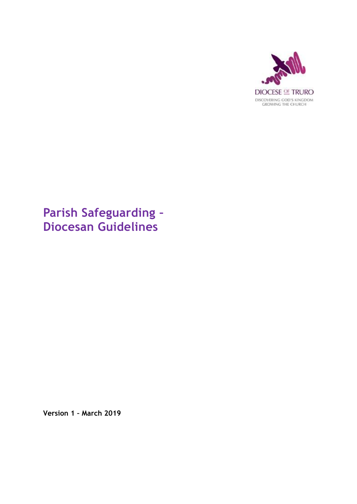

# **Parish Safeguarding – Diocesan Guidelines**

**Version 1 – March 2019**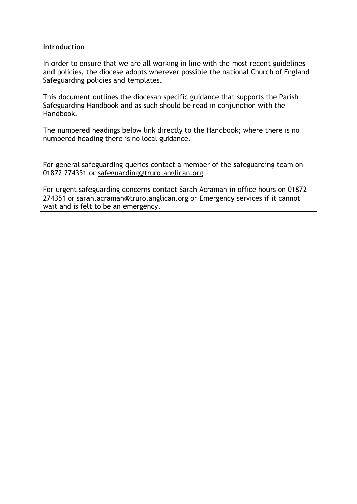## **Introduction**

In order to ensure that we are all working in line with the most recent guidelines and policies, the diocese adopts wherever possible the national Church of England Safeguarding policies and templates.

This document outlines the diocesan specific guidance that supports the Parish Safeguarding Handbook and as such should be read in conjunction with the Handbook.

The numbered headings below link directly to the Handbook; where there is no numbered heading there is no local guidance.

For general safeguarding queries contact a member of the safeguarding team on 01872 274351 or [safeguarding@truro.anglican.org](mailto:safeguarding@truro.anglican.org)

For urgent safeguarding concerns contact Sarah Acraman in office hours on 01872 274351 or [sarah.acraman@truro.anglican.org](mailto:sarah.acraman@truro.anglican.org) or Emergency services if it cannot wait and is felt to be an emergency.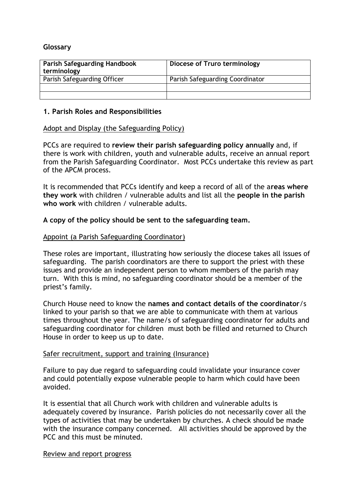# **Glossary**

| <b>Parish Safeguarding Handbook</b><br>terminology | Diocese of Truro terminology    |
|----------------------------------------------------|---------------------------------|
| Parish Safeguarding Officer                        | Parish Safeguarding Coordinator |
|                                                    |                                 |
|                                                    |                                 |

# **1. Parish Roles and Responsibilities**

## Adopt and Display (the Safeguarding Policy)

PCCs are required to **review their parish safeguarding policy annually** and, if there is work with children, youth and vulnerable adults, receive an annual report from the Parish Safeguarding Coordinator. Most PCCs undertake this review as part of the APCM process.

It is recommended that PCCs identify and keep a record of all of the a**reas where they work** with children / vulnerable adults and list all the **people in the parish who work** with children / vulnerable adults.

## **A copy of the policy should be sent to the safeguarding team.**

## Appoint (a Parish Safeguarding Coordinator)

These roles are important, illustrating how seriously the diocese takes all issues of safeguarding. The parish coordinators are there to support the priest with these issues and provide an independent person to whom members of the parish may turn. With this is mind, no safeguarding coordinator should be a member of the priest's family.

Church House need to know the **names and contact details of the coordinator**/s linked to your parish so that we are able to communicate with them at various times throughout the year. The name/s of safeguarding coordinator for adults and safeguarding coordinator for children must both be filled and returned to Church House in order to keep us up to date.

#### Safer recruitment, support and training (Insurance)

Failure to pay due regard to safeguarding could invalidate your insurance cover and could potentially expose vulnerable people to harm which could have been avoided.

It is essential that all Church work with children and vulnerable adults is adequately covered by insurance. Parish policies do not necessarily cover all the types of activities that may be undertaken by churches. A check should be made with the insurance company concerned. All activities should be approved by the PCC and this must be minuted.

#### Review and report progress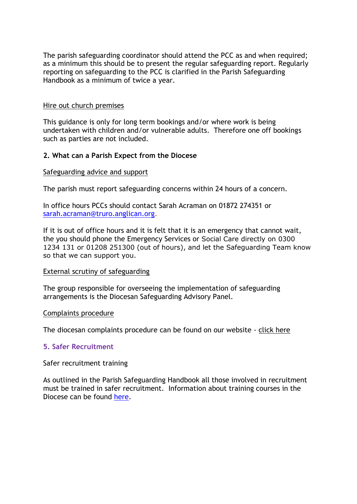The parish safeguarding coordinator should attend the PCC as and when required; as a minimum this should be to present the regular safeguarding report. Regularly reporting on safeguarding to the PCC is clarified in the Parish Safeguarding Handbook as a minimum of twice a year.

## Hire out church premises

This guidance is only for long term bookings and/or where work is being undertaken with children and/or vulnerable adults. Therefore one off bookings such as parties are not included.

# **2. What can a Parish Expect from the Diocese**

## Safeguarding advice and support

The parish must report safeguarding concerns within 24 hours of a concern.

In office hours PCCs should contact Sarah Acraman on 01872 274351 or [sarah.acraman@truro.anglican.org.](mailto:sarah.acraman@truro.anglican.org)

If it is out of office hours and it is felt that it is an emergency that cannot wait, the you should phone the Emergency Services or Social Care directly on 0300 1234 131 or 01208 251300 (out of hours), and let the Safeguarding Team know so that we can support you.

#### External scrutiny of safeguarding

The group responsible for overseeing the implementation of safeguarding arrangements is the Diocesan Safeguarding Advisory Panel.

#### Complaints procedure

The diocesan complaints procedure can be found on our website - [click here](https://www.trurodiocese.org.uk/?s=complaints)

# **5. Safer Recruitment**

#### Safer recruitment training

As outlined in the Parish Safeguarding Handbook all those involved in recruitment must be trained in safer recruitment. Information about training courses in the Diocese can be found [here.](https://www.trurodiocese.org.uk/resources/safeguarding/training-safeguarding/)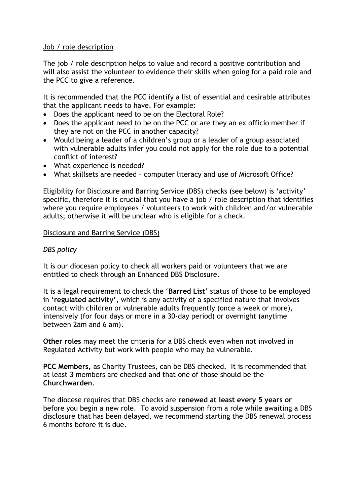# Job / role description

The job / role description helps to value and record a positive contribution and will also assist the volunteer to evidence their skills when going for a paid role and the PCC to give a reference.

It is recommended that the PCC identify a list of essential and desirable attributes that the applicant needs to have. For example:

- Does the applicant need to be on the Electoral Role?
- Does the applicant need to be on the PCC or are they an ex officio member if they are not on the PCC in another capacity?
- Would being a leader of a children's group or a leader of a group associated with vulnerable adults infer you could not apply for the role due to a potential conflict of interest?
- What experience is needed?
- What skillsets are needed computer literacy and use of Microsoft Office?

Eligibility for Disclosure and Barring Service (DBS) checks (see below) is 'activity' specific, therefore it is crucial that you have a job / role description that identifies where you require employees / volunteers to work with children and/or vulnerable adults; otherwise it will be unclear who is eligible for a check.

# Disclosure and Barring Service (DBS)

# *DBS policy*

It is our diocesan policy to check all workers paid or volunteers that we are entitled to check through an Enhanced DBS Disclosure.

It is a legal requirement to check the '**Barred List**' status of those to be employed in '**regulated activity'**, which is any activity of a specified nature that involves contact with children or vulnerable adults frequently (once a week or more), intensively (for four days or more in a 30-day period) or overnight (anytime between 2am and 6 am).

**Other roles** may meet the criteria for a DBS check even when not involved in Regulated Activity but work with people who may be vulnerable.

**PCC Members,** as Charity Trustees, can be DBS checked. It is recommended that at least 3 members are checked and that one of those should be the **Churchwarden**.

The diocese requires that DBS checks are **renewed at least every 5 years or** before you begin a new role. To avoid suspension from a role while awaiting a DBS disclosure that has been delayed, we recommend starting the DBS renewal process 6 months before it is due.